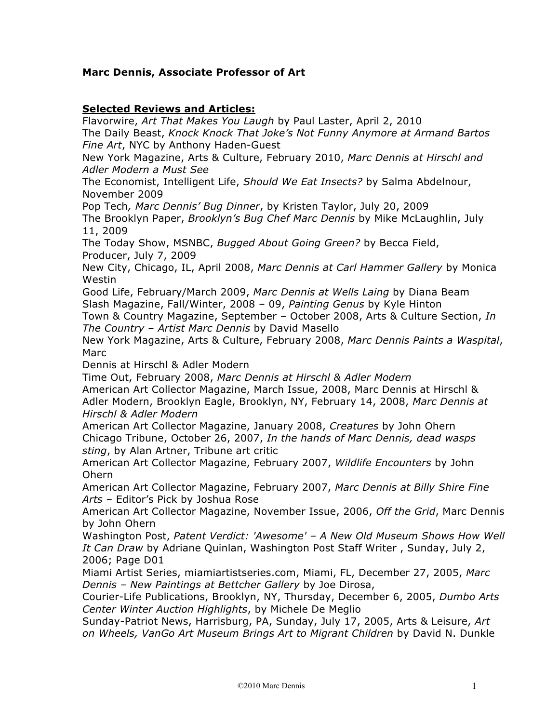## **Marc Dennis, Associate Professor of Art**

## **Selected Reviews and Articles:**

Flavorwire, *Art That Makes You Laugh* by Paul Laster, April 2, 2010 The Daily Beast, *Knock Knock That Joke's Not Funny Anymore at Armand Bartos Fine Art*, NYC by Anthony Haden-Guest New York Magazine, Arts & Culture, February 2010, *Marc Dennis at Hirschl and Adler Modern a Must See* The Economist, Intelligent Life, *Should We Eat Insects?* by Salma Abdelnour, November 2009 Pop Tech*, Marc Dennis' Bug Dinner*, by Kristen Taylor, July 20, 2009 The Brooklyn Paper, *Brooklyn's Bug Chef Marc Dennis* by Mike McLaughlin, July 11, 2009 The Today Show, MSNBC, *Bugged About Going Green?* by Becca Field, Producer, July 7, 2009 New City, Chicago, IL, April 2008, *Marc Dennis at Carl Hammer Gallery* by Monica Westin Good Life, February/March 2009, *Marc Dennis at Wells Laing* by Diana Beam Slash Magazine, Fall/Winter, 2008 – 09, *Painting Genus* by Kyle Hinton Town & Country Magazine, September – October 2008, Arts & Culture Section, *In The Country – Artist Marc Dennis* by David Masello New York Magazine, Arts & Culture, February 2008, *Marc Dennis Paints a Waspital*, Marc Dennis at Hirschl & Adler Modern Time Out, February 2008, *Marc Dennis at Hirschl & Adler Modern* American Art Collector Magazine, March Issue, 2008, Marc Dennis at Hirschl & Adler Modern, Brooklyn Eagle, Brooklyn, NY, February 14, 2008, *Marc Dennis at Hirschl & Adler Modern* American Art Collector Magazine, January 2008, *Creatures* by John Ohern Chicago Tribune, October 26, 2007, *In the hands of Marc Dennis, dead wasps sting*, by Alan Artner, Tribune art critic American Art Collector Magazine, February 2007, *Wildlife Encounters* by John Ohern American Art Collector Magazine, February 2007, *Marc Dennis at Billy Shire Fine Arts* – Editor's Pick by Joshua Rose American Art Collector Magazine, November Issue, 2006, *Off the Grid*, Marc Dennis by John Ohern Washington Post, *Patent Verdict: 'Awesome' – A New Old Museum Shows How Well It Can Draw* by Adriane Quinlan, Washington Post Staff Writer , Sunday, July 2, 2006; Page D01 Miami Artist Series, miamiartistseries.com, Miami, FL, December 27, 2005, *Marc Dennis – New Paintings at Bettcher Gallery* by Joe Dirosa, Courier-Life Publications, Brooklyn, NY, Thursday, December 6, 2005, *Dumbo Arts Center Winter Auction Highlights*, by Michele De Meglio Sunday-Patriot News, Harrisburg, PA, Sunday, July 17, 2005, Arts & Leisure, *Art on Wheels, VanGo Art Museum Brings Art to Migrant Children* by David N. Dunkle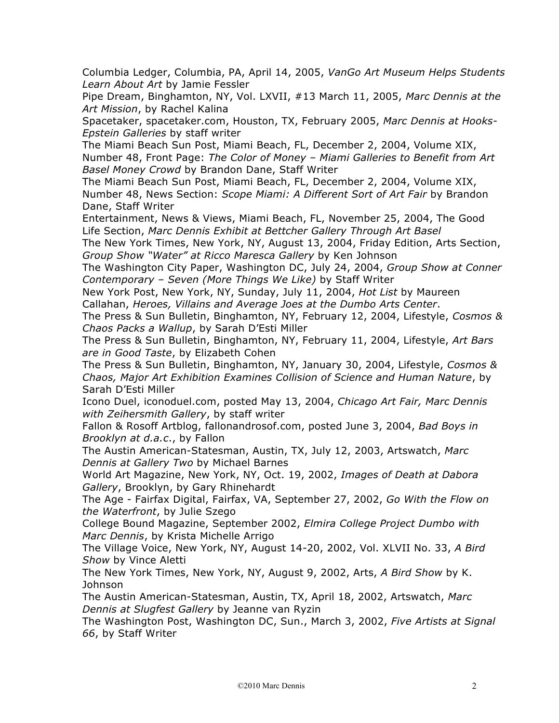Columbia Ledger, Columbia, PA, April 14, 2005, *VanGo Art Museum Helps Students Learn About Art* by Jamie Fessler

Pipe Dream, Binghamton, NY, Vol. LXVII, #13 March 11, 2005, *Marc Dennis at the Art Mission*, by Rachel Kalina

Spacetaker, spacetaker.com, Houston, TX, February 2005, *Marc Dennis at Hooks-Epstein Galleries* by staff writer

The Miami Beach Sun Post, Miami Beach, FL, December 2, 2004, Volume XIX, Number 48, Front Page: *The Color of Money – Miami Galleries to Benefit from Art Basel Money Crowd* by Brandon Dane, Staff Writer

The Miami Beach Sun Post, Miami Beach, FL, December 2, 2004, Volume XIX, Number 48, News Section: *Scope Miami: A Different Sort of Art Fair* by Brandon Dane, Staff Writer

Entertainment, News & Views, Miami Beach, FL, November 25, 2004, The Good Life Section, *Marc Dennis Exhibit at Bettcher Gallery Through Art Basel*

The New York Times, New York, NY, August 13, 2004, Friday Edition, Arts Section, *Group Show "Water" at Ricco Maresca Gallery* by Ken Johnson

The Washington City Paper, Washington DC, July 24, 2004, *Group Show at Conner Contemporary – Seven (More Things We Like)* by Staff Writer

New York Post, New York, NY, Sunday, July 11, 2004, *Hot List* by Maureen Callahan, *Heroes, Villains and Average Joes at the Dumbo Arts Center*.

The Press & Sun Bulletin, Binghamton, NY, February 12, 2004, Lifestyle, *Cosmos & Chaos Packs a Wallup*, by Sarah D'Esti Miller

The Press & Sun Bulletin, Binghamton, NY, February 11, 2004, Lifestyle, *Art Bars are in Good Taste*, by Elizabeth Cohen

The Press & Sun Bulletin, Binghamton, NY, January 30, 2004, Lifestyle, *Cosmos & Chaos, Major Art Exhibition Examines Collision of Science and Human Nature*, by Sarah D'Esti Miller

Icono Duel, iconoduel.com, posted May 13, 2004, *Chicago Art Fair, Marc Dennis with Zeihersmith Gallery*, by staff writer

Fallon & Rosoff Artblog, fallonandrosof.com, posted June 3, 2004, *Bad Boys in Brooklyn at d.a.c*., by Fallon

The Austin American-Statesman, Austin, TX, July 12, 2003, Artswatch, *Marc Dennis at Gallery Two* by Michael Barnes

World Art Magazine, New York, NY, Oct. 19, 2002, *Images of Death at Dabora Gallery*, Brooklyn, by Gary Rhinehardt

The Age - Fairfax Digital, Fairfax, VA, September 27, 2002, *Go With the Flow on the Waterfront*, by Julie Szego

College Bound Magazine, September 2002, *Elmira College Project Dumbo with Marc Dennis*, by Krista Michelle Arrigo

The Village Voice, New York, NY, August 14-20, 2002, Vol. XLVII No. 33, *A Bird Show* by Vince Aletti

The New York Times, New York, NY, August 9, 2002, Arts, *A Bird Show* by K. Johnson

The Austin American-Statesman, Austin, TX, April 18, 2002, Artswatch, *Marc Dennis at Slugfest Gallery* by Jeanne van Ryzin

The Washington Post, Washington DC, Sun., March 3, 2002, *Five Artists at Signal 66*, by Staff Writer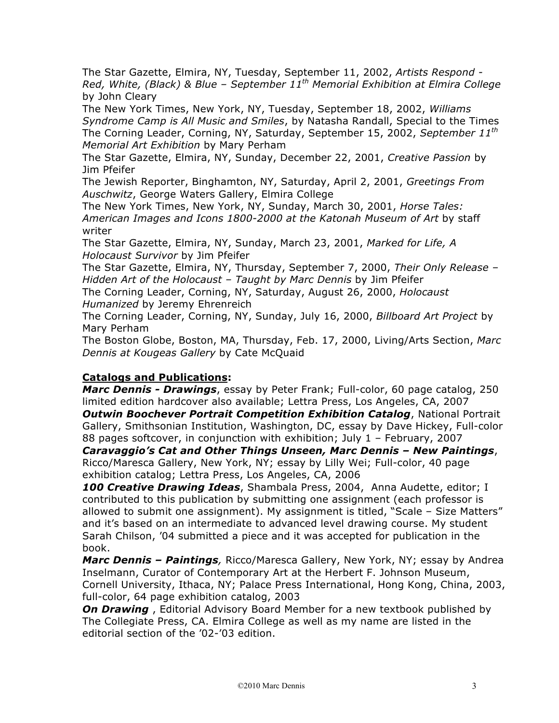The Star Gazette, Elmira, NY, Tuesday, September 11, 2002, *Artists Respond - Red, White, (Black) & Blue – September 11th Memorial Exhibition at Elmira College*  by John Cleary

The New York Times, New York, NY, Tuesday, September 18, 2002, *Williams Syndrome Camp is All Music and Smiles*, by Natasha Randall, Special to the Times The Corning Leader, Corning, NY, Saturday, September 15, 2002, *September 11th Memorial Art Exhibition* by Mary Perham

The Star Gazette, Elmira, NY, Sunday, December 22, 2001, *Creative Passion* by Jim Pfeifer

The Jewish Reporter, Binghamton, NY, Saturday, April 2, 2001, *Greetings From Auschwitz*, George Waters Gallery, Elmira College

The New York Times, New York, NY, Sunday, March 30, 2001, *Horse Tales: American Images and Icons 1800-2000 at the Katonah Museum of Art* by staff writer

The Star Gazette, Elmira, NY, Sunday, March 23, 2001, *Marked for Life, A Holocaust Survivor* by Jim Pfeifer

The Star Gazette, Elmira, NY, Thursday, September 7, 2000, *Their Only Release – Hidden Art of the Holocaust – Taught by Marc Dennis* by Jim Pfeifer

The Corning Leader, Corning, NY, Saturday, August 26, 2000, *Holocaust Humanized* by Jeremy Ehrenreich

The Corning Leader, Corning, NY, Sunday, July 16, 2000, *Billboard Art Project* by Mary Perham

The Boston Globe, Boston, MA, Thursday, Feb. 17, 2000, Living/Arts Section, *Marc Dennis at Kougeas Gallery* by Cate McQuaid

## **Catalogs and Publications:**

*Marc Dennis - Drawings*, essay by Peter Frank; Full-color, 60 page catalog, 250 limited edition hardcover also available; Lettra Press, Los Angeles, CA, 2007

*Outwin Boochever Portrait Competition Exhibition Catalog*, National Portrait Gallery, Smithsonian Institution, Washington, DC, essay by Dave Hickey, Full-color 88 pages softcover, in conjunction with exhibition; July 1 – February, 2007

*Caravaggio's Cat and Other Things Unseen, Marc Dennis – New Paintings*, Ricco/Maresca Gallery, New York, NY; essay by Lilly Wei; Full-color, 40 page exhibition catalog; Lettra Press, Los Angeles, CA, 2006

*100 Creative Drawing Ideas*, Shambala Press, 2004, Anna Audette, editor; I contributed to this publication by submitting one assignment (each professor is allowed to submit one assignment). My assignment is titled, "Scale – Size Matters" and it's based on an intermediate to advanced level drawing course. My student Sarah Chilson, '04 submitted a piece and it was accepted for publication in the book.

*Marc Dennis – Paintings,* Ricco/Maresca Gallery, New York, NY; essay by Andrea Inselmann, Curator of Contemporary Art at the Herbert F. Johnson Museum, Cornell University, Ithaca, NY; Palace Press International, Hong Kong, China, 2003, full-color, 64 page exhibition catalog, 2003

**On Drawing**, Editorial Advisory Board Member for a new textbook published by The Collegiate Press, CA. Elmira College as well as my name are listed in the editorial section of the '02-'03 edition.